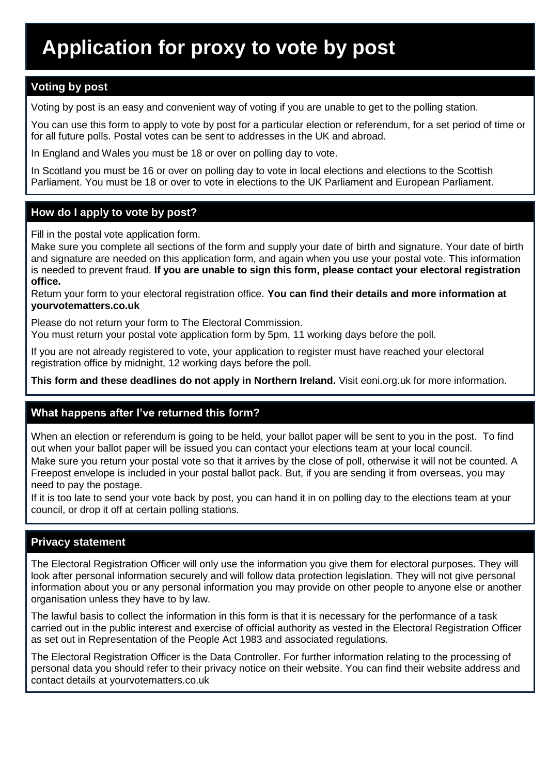## **Application for proxy to vote by post**

### **Voting by post**

Voting by post is an easy and convenient way of voting if you are unable to get to the polling station.

You can use this form to apply to vote by post for a particular election or referendum, for a set period of time or for all future polls. Postal votes can be sent to addresses in the UK and abroad.

In England and Wales you must be 18 or over on polling day to vote.

In Scotland you must be 16 or over on polling day to vote in local elections and elections to the Scottish Parliament. You must be 18 or over to vote in elections to the UK Parliament and European Parliament.

## **How do I apply to vote by post?**

Fill in the postal vote application form.

 Make sure you complete all sections of the form and supply your date of birth and signature. Your date of birth and signature are needed on this application form, and again when you use your postal vote. This information is needed to prevent fraud. **If you are unable to sign this form, please contact your electoral registration office.**

 Return your form to your electoral registration office. **You can find their details and more information at yourvotematters.co.uk**

Please do not return your form to The Electoral Commission.

You must return your postal vote application form by 5pm, 11 working days before the poll.

If you are not already registered to vote, your application to register must have reached your electoral registration office by midnight, 12 working days before the poll.

**This form and these deadlines do not apply in Northern Ireland.** Visit eoni.org.uk for more information.

#### **What happens after I've returned this form?**

 When an election or referendum is going to be held, your ballot paper will be sent to you in the post. To find out when your ballot paper will be issued you can contact your elections team at your local council. Make sure you return your postal vote so that it arrives by the close of poll, otherwise it will not be counted. A Freepost envelope is included in your postal ballot pack. But, if you are sending it from overseas, you may need to pay the postage.

 If it is too late to send your vote back by post, you can hand it in on polling day to the elections team at your council, or drop it off at certain polling stations.

#### **Privacy statement**

The Electoral Registration Officer will only use the information you give them for electoral purposes. They will look after personal information securely and will follow data protection legislation. They will not give personal information about you or any personal information you may provide on other people to anyone else or another organisation unless they have to by law.

The lawful basis to collect the information in this form is that it is necessary for the performance of a task carried out in the public interest and exercise of official authority as vested in the Electoral Registration Officer as set out in Representation of the People Act 1983 and associated regulations.

The Electoral Registration Officer is the Data Controller. For further information relating to the processing of personal data you should refer to their privacy notice on their website. You can find their website address and contact details at yourvotematters.co.uk